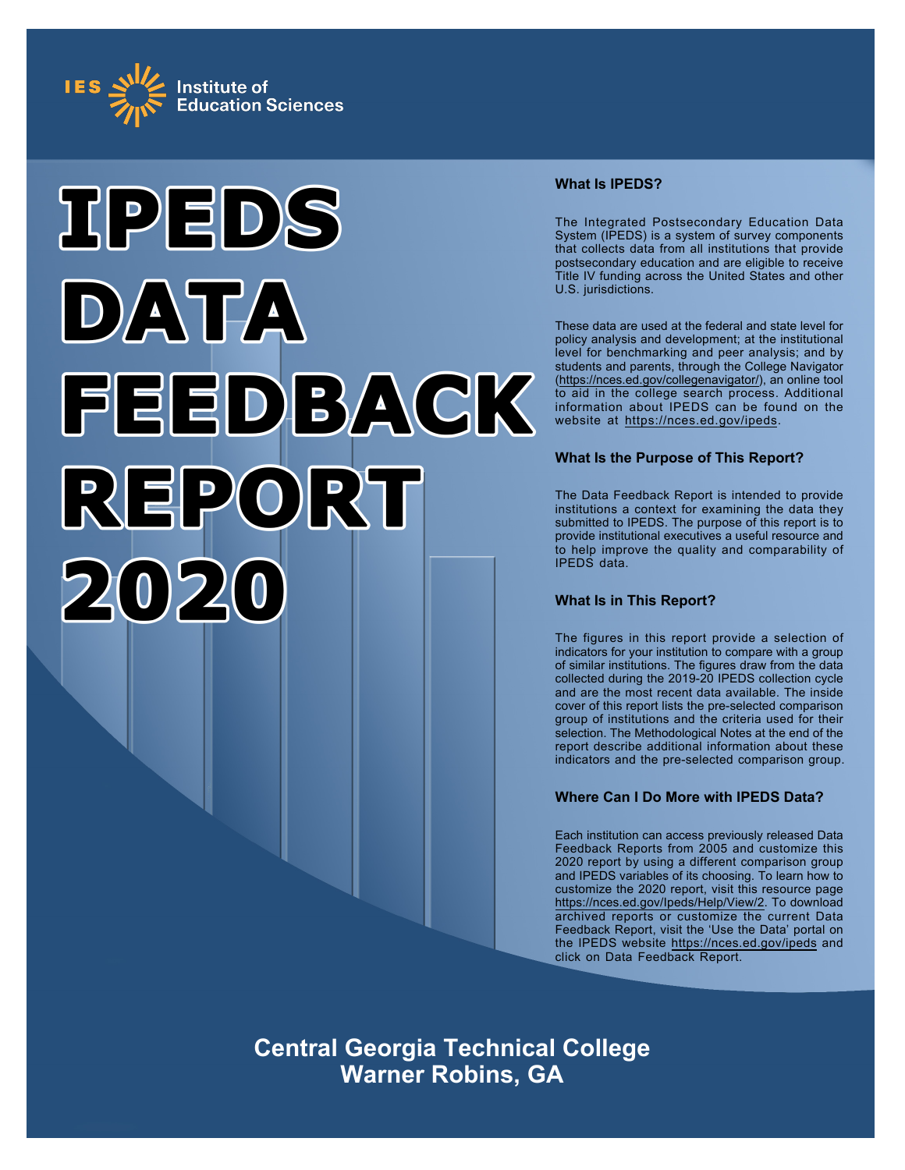



## **What Is IPEDS?**

The Integrated Postsecondary Education Data System (IPEDS) is a system of survey components that collects data from all institutions that provide postsecondary education and are eligible to receive Title IV funding across the United States and other U.S. jurisdictions.

These data are used at the federal and state level for policy analysis and development; at the institutional level for benchmarking and peer analysis; and by students and parents, through the College Navigator ([https://nces.ed.gov/collegenavigator/\)](https://nces.ed.gov/collegenavigator/), an online tool to aid in the college search process. Additional information about IPEDS can be found on the website at<https://nces.ed.gov/ipeds>.

## **What Is the Purpose of This Report?**

The Data Feedback Report is intended to provide institutions a context for examining the data they submitted to IPEDS. The purpose of this report is to provide institutional executives a useful resource and to help improve the quality and comparability of IPEDS data.

## **What Is in This Report?**

The figures in this report provide a selection of indicators for your institution to compare with a group of similar institutions. The figures draw from the data collected during the 2019-20 IPEDS collection cycle and are the most recent data available. The inside cover of this report lists the pre-selected comparison group of institutions and the criteria used for their selection. The Methodological Notes at the end of the report describe additional information about these indicators and the pre-selected comparison group.

## **Where Can I Do More with IPEDS Data?**

Each institution can access previously released Data Feedback Reports from 2005 and customize this 2020 report by using a different comparison group and IPEDS variables of its choosing. To learn how to customize the 2020 report, visit this resource page <https://nces.ed.gov/Ipeds/Help/View/2>. To download archived reports or customize the current Data Feedback Report, visit the 'Use the Data' portal on the IPEDS website<https://nces.ed.gov/ipeds> and click on Data Feedback Report.

**Central Georgia Technical College Warner Robins, GA**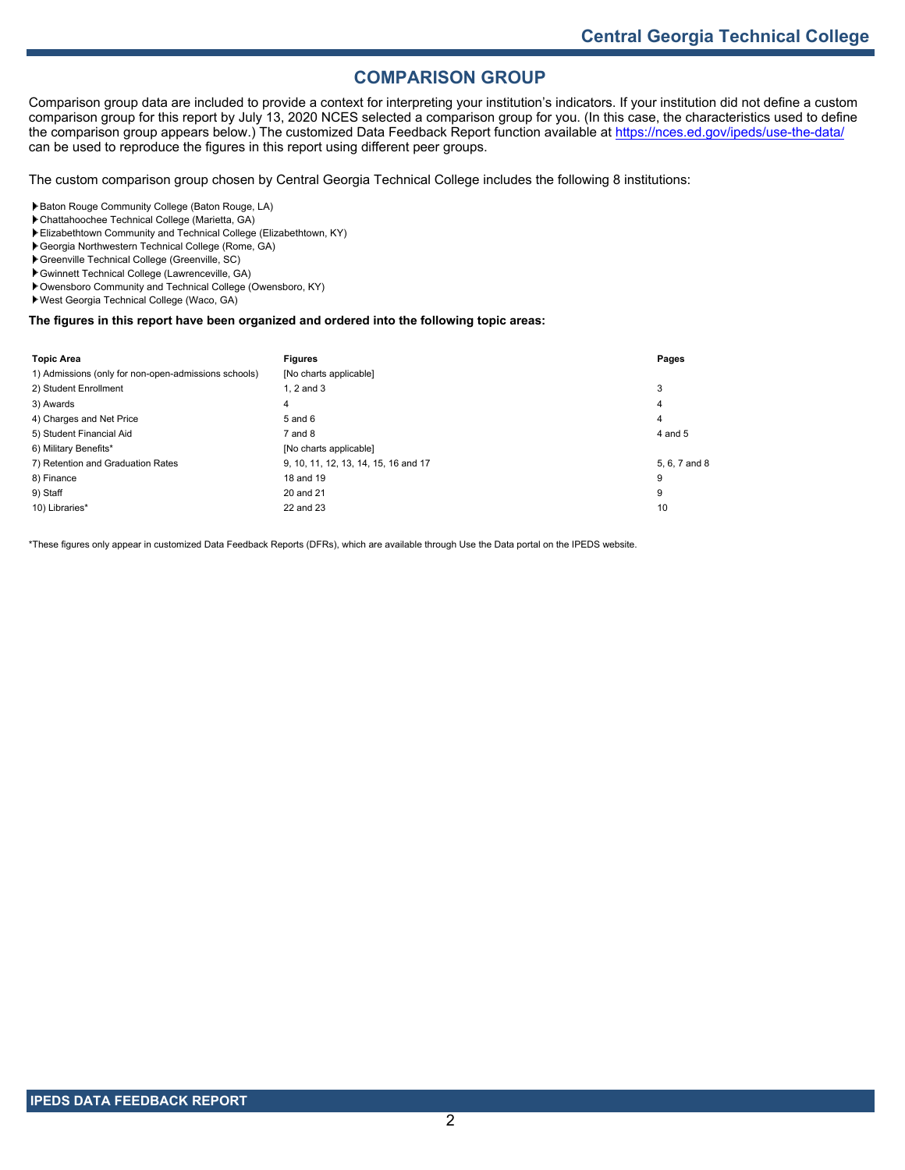## **COMPARISON GROUP**

Comparison group data are included to provide a context for interpreting your institution's indicators. If your institution did not define a custom comparison group for this report by July 13, 2020 NCES selected a comparison group for you. (In this case, the characteristics used to define the comparison group appears below.) The customized Data Feedback Report function available at<https://nces.ed.gov/ipeds/use-the-data/> can be used to reproduce the figures in this report using different peer groups.

The custom comparison group chosen by Central Georgia Technical College includes the following 8 institutions:

- Baton Rouge Community College (Baton Rouge, LA)
- Chattahoochee Technical College (Marietta, GA)
- Elizabethtown Community and Technical College (Elizabethtown, KY)
- Georgia Northwestern Technical College (Rome, GA)
- Greenville Technical College (Greenville, SC) Gwinnett Technical College (Lawrenceville, GA)
- Owensboro Community and Technical College (Owensboro, KY)
- West Georgia Technical College (Waco, GA)

### **The figures in this report have been organized and ordered into the following topic areas:**

| <b>Topic Area</b>                                    | <b>Figures</b>                       | Pages         |
|------------------------------------------------------|--------------------------------------|---------------|
| 1) Admissions (only for non-open-admissions schools) | [No charts applicable]               |               |
| 2) Student Enrollment                                | $1.2$ and $3$                        | 3             |
| 3) Awards                                            | 4                                    | 4             |
| 4) Charges and Net Price                             | $5$ and $6$                          | 4             |
| 5) Student Financial Aid                             | 7 and 8                              | 4 and 5       |
| 6) Military Benefits*                                | [No charts applicable]               |               |
| 7) Retention and Graduation Rates                    | 9, 10, 11, 12, 13, 14, 15, 16 and 17 | 5, 6, 7 and 8 |
| 8) Finance                                           | 18 and 19                            | 9             |
| 9) Staff                                             | 20 and 21                            | 9             |
| 10) Libraries*                                       | 22 and 23                            | 10            |

\*These figures only appear in customized Data Feedback Reports (DFRs), which are available through Use the Data portal on the IPEDS website.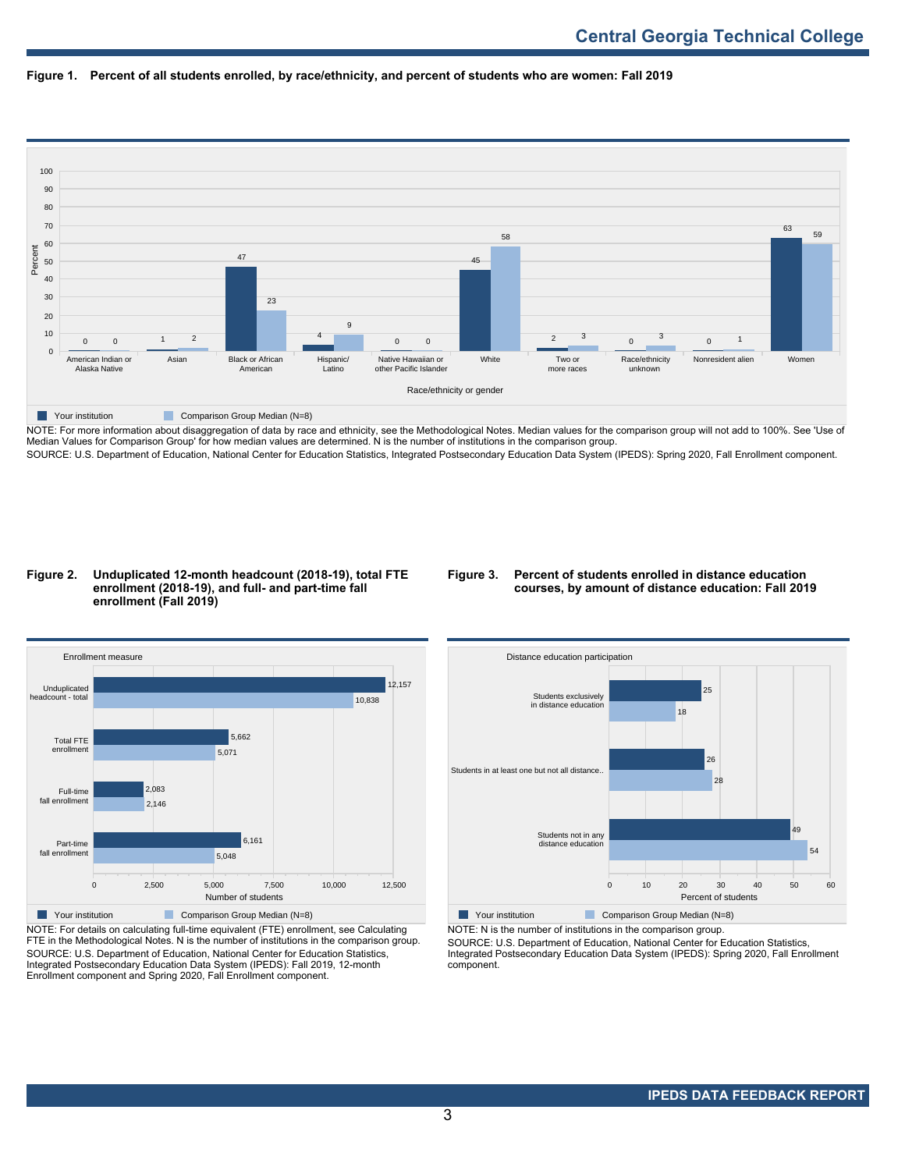



NOTE: For more information about disaggregation of data by race and ethnicity, see the Methodological Notes. Median values for the comparison group will not add to 100%. See 'Use of Median Values for Comparison Group' for how median values are determined. N is the number of institutions in the comparison group. SOURCE: U.S. Department of Education, National Center for Education Statistics, Integrated Postsecondary Education Data System (IPEDS): Spring 2020, Fall Enrollment component.

### **Figure 2. Unduplicated 12-month headcount (2018-19), total FTE enrollment (2018-19), and full- and part-time fall enrollment (Fall 2019)**

## **Figure 3. Percent of students enrolled in distance education courses, by amount of distance education: Fall 2019**



NOTE: For details on calculating full-time equivalent (FTE) enrollment, see Calculating FTE in the Methodological Notes. N is the number of institutions in the comparison group. SOURCE: U.S. Department of Education, National Center for Education Statistics, Integrated Postsecondary Education Data System (IPEDS): Fall 2019, 12-month Enrollment component and Spring 2020, Fall Enrollment component.



NOTE: N is the number of institutions in the comparison group.

SOURCE: U.S. Department of Education, National Center for Education Statistics, Integrated Postsecondary Education Data System (IPEDS): Spring 2020, Fall Enrollment component.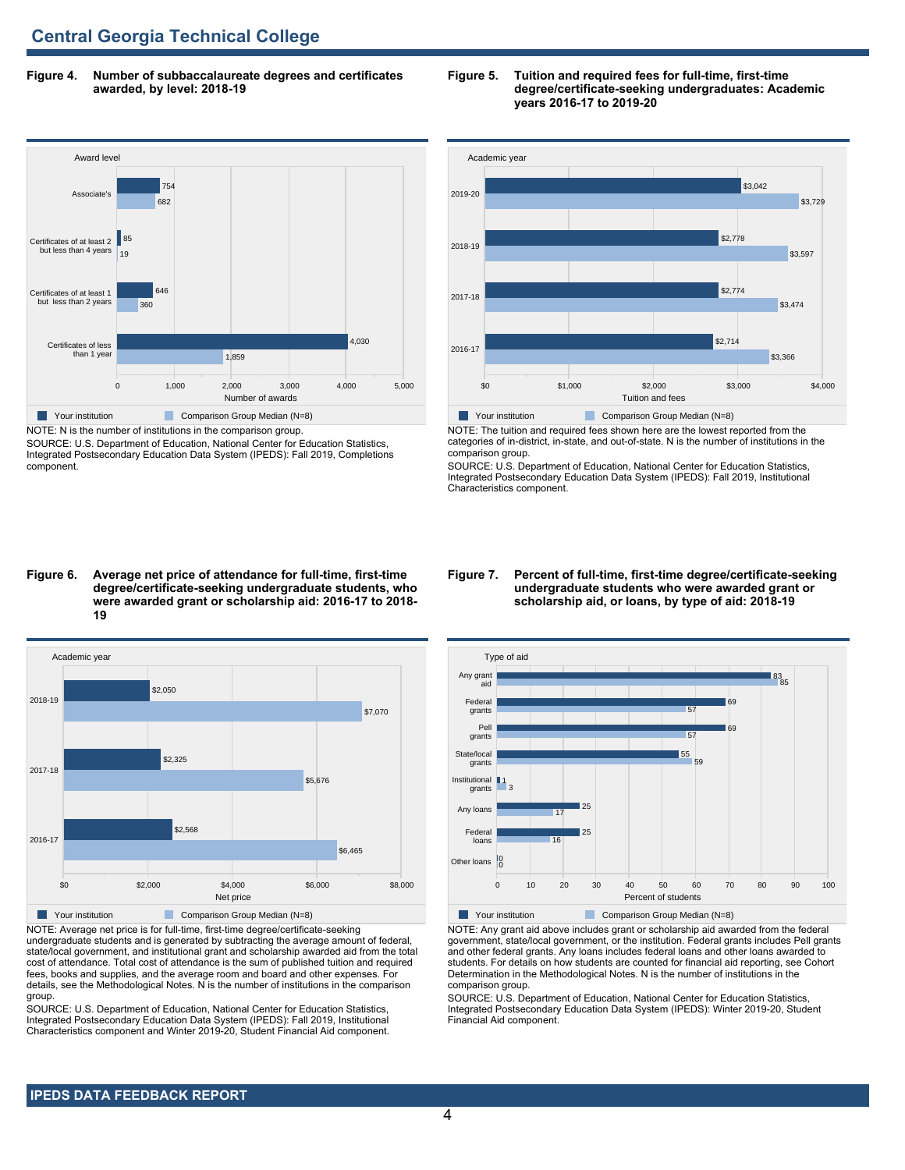**Figure 4. Number of subbaccalaureate degrees and certificates awarded, by level: 2018-19**



NOTE: N is the number of institutions in the comparison group. SOURCE: U.S. Department of Education, National Center for Education Statistics, Integrated Postsecondary Education Data System (IPEDS): Fall 2019, Completions component.

### **Figure 5. Tuition and required fees for full-time, first-time degree/certificate-seeking undergraduates: Academic years 2016-17 to 2019-20**



NOTE: The tuition and required fees shown here are the lowest reported from the categories of in-district, in-state, and out-of-state. N is the number of institutions in the comparison group.

SOURCE: U.S. Department of Education, National Center for Education Statistics, Integrated Postsecondary Education Data System (IPEDS): Fall 2019, Institutional Characteristics component.

#### **Figure 6. Average net price of attendance for full-time, first-time degree/certificate-seeking undergraduate students, who were awarded grant or scholarship aid: 2016-17 to 2018- 19**



NOTE: Average net price is for full-time, first-time degree/certificate-seeking undergraduate students and is generated by subtracting the average amount of federal, state/local government, and institutional grant and scholarship awarded aid from the total cost of attendance. Total cost of attendance is the sum of published tuition and required fees, books and supplies, and the average room and board and other expenses. For details, see the Methodological Notes. N is the number of institutions in the comparison group.

SOURCE: U.S. Department of Education, National Center for Education Statistics, Integrated Postsecondary Education Data System (IPEDS): Fall 2019, Institutional Characteristics component and Winter 2019-20, Student Financial Aid component.

### **Figure 7. Percent of full-time, first-time degree/certificate-seeking undergraduate students who were awarded grant or scholarship aid, or loans, by type of aid: 2018-19**



NOTE: Any grant aid above includes grant or scholarship aid awarded from the federal government, state/local government, or the institution. Federal grants includes Pell grants and other federal grants. Any loans includes federal loans and other loans awarded to students. For details on how students are counted for financial aid reporting, see Cohort Determination in the Methodological Notes. N is the number of institutions in the comparison group.

SOURCE: U.S. Department of Education, National Center for Education Statistics, Integrated Postsecondary Education Data System (IPEDS): Winter 2019-20, Student Financial Aid component.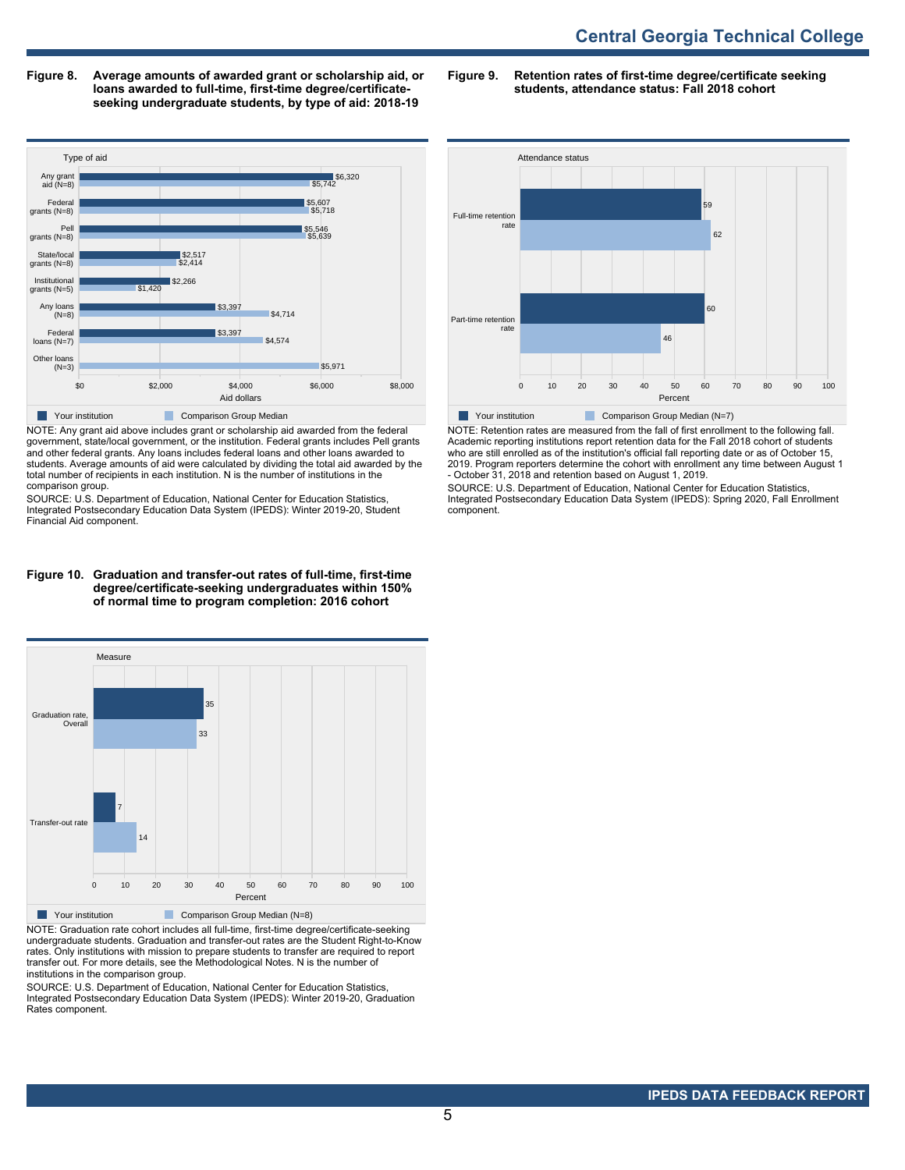**Figure 8. Average amounts of awarded grant or scholarship aid, or loans awarded to full-time, first-time degree/certificateseeking undergraduate students, by type of aid: 2018-19**

**Figure 9. Retention rates of first-time degree/certificate seeking students, attendance status: Fall 2018 cohort**



NOTE: Any grant aid above includes grant or scholarship aid awarded from the federal government, state/local government, or the institution. Federal grants includes Pell grants and other federal grants. Any loans includes federal loans and other loans awarded to students. Average amounts of aid were calculated by dividing the total aid awarded by the total number of recipients in each institution. N is the number of institutions in the comparison group.

SOURCE: U.S. Department of Education, National Center for Education Statistics, Integrated Postsecondary Education Data System (IPEDS): Winter 2019-20, Student Financial Aid component.

#### **Figure 10. Graduation and transfer-out rates of full-time, first-time degree/certificate-seeking undergraduates within 150% of normal time to program completion: 2016 cohort**



NOTE: Graduation rate cohort includes all full-time, first-time degree/certificate-seeking undergraduate students. Graduation and transfer-out rates are the Student Right-to-Know rates. Only institutions with mission to prepare students to transfer are required to report transfer out. For more details, see the Methodological Notes. N is the number of institutions in the comparison group.

SOURCE: U.S. Department of Education, National Center for Education Statistics, Integrated Postsecondary Education Data System (IPEDS): Winter 2019-20, Graduation Rates component.



NOTE: Retention rates are measured from the fall of first enrollment to the following fall. Academic reporting institutions report retention data for the Fall 2018 cohort of students who are still enrolled as of the institution's official fall reporting date or as of October 15, 2019. Program reporters determine the cohort with enrollment any time between August 1 - October 31, 2018 and retention based on August 1, 2019.

SOURCE: U.S. Department of Education, National Center for Education Statistics, Integrated Postsecondary Education Data System (IPEDS): Spring 2020, Fall Enrollment component.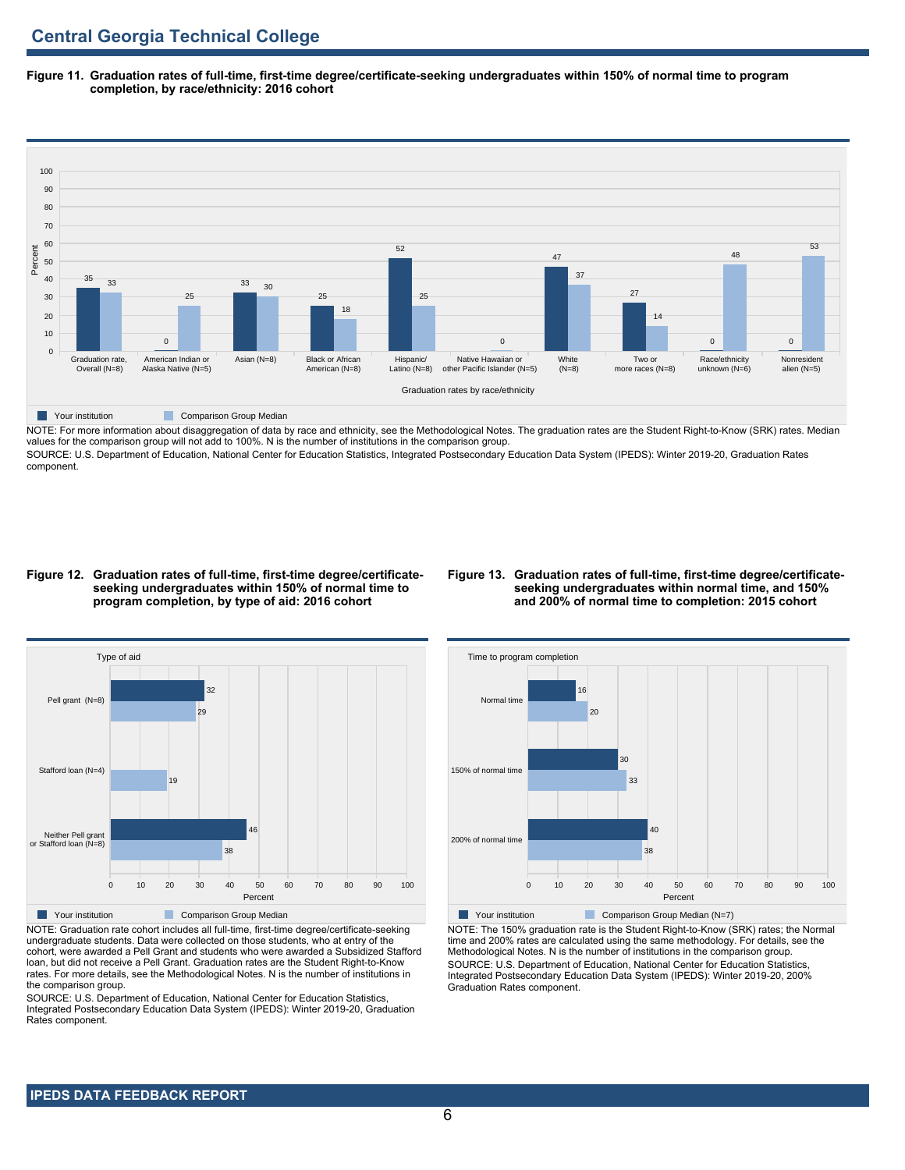**Figure 11. Graduation rates of full-time, first-time degree/certificate-seeking undergraduates within 150% of normal time to program completion, by race/ethnicity: 2016 cohort**



NOTE: For more information about disaggregation of data by race and ethnicity, see the Methodological Notes. The graduation rates are the Student Right-to-Know (SRK) rates. Median values for the comparison group will not add to 100%. N is the number of institutions in the comparison group.

SOURCE: U.S. Department of Education, National Center for Education Statistics, Integrated Postsecondary Education Data System (IPEDS): Winter 2019-20, Graduation Rates component.

### **Figure 12. Graduation rates of full-time, first-time degree/certificateseeking undergraduates within 150% of normal time to program completion, by type of aid: 2016 cohort**

### **Figure 13. Graduation rates of full-time, first-time degree/certificateseeking undergraduates within normal time, and 150% and 200% of normal time to completion: 2015 cohort**



NOTE: Graduation rate cohort includes all full-time, first-time degree/certificate-seeking undergraduate students. Data were collected on those students, who at entry of the cohort, were awarded a Pell Grant and students who were awarded a Subsidized Stafford loan, but did not receive a Pell Grant. Graduation rates are the Student Right-to-Know rates. For more details, see the Methodological Notes. N is the number of institutions in the comparison group.

SOURCE: U.S. Department of Education, National Center for Education Statistics, Integrated Postsecondary Education Data System (IPEDS): Winter 2019-20, Graduation Rates component.



NOTE: The 150% graduation rate is the Student Right-to-Know (SRK) rates; the Normal time and 200% rates are calculated using the same methodology. For details, see the Methodological Notes. N is the number of institutions in the comparison group. SOURCE: U.S. Department of Education, National Center for Education Statistics, Integrated Postsecondary Education Data System (IPEDS): Winter 2019-20, 200% Graduation Rates component.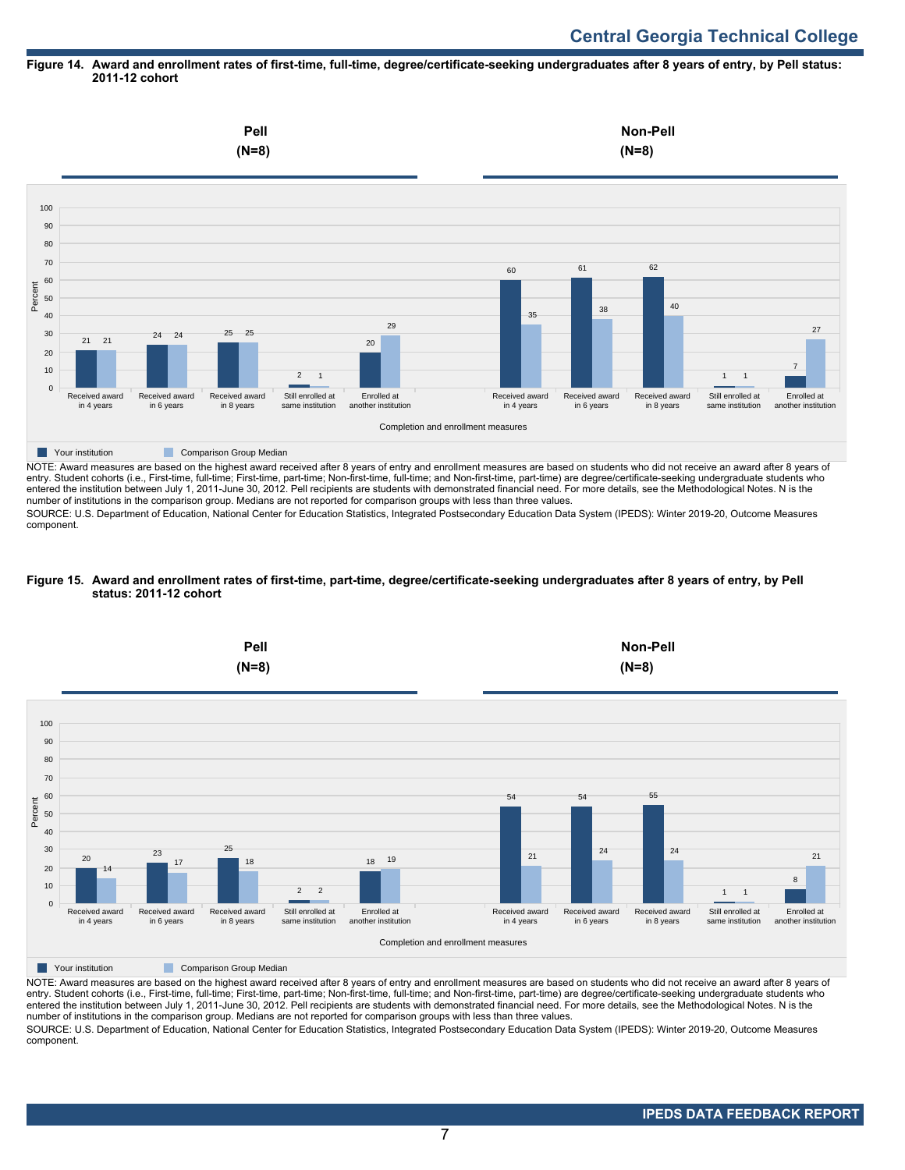### **Figure 14. Award and enrollment rates of first-time, full-time, degree/certificate-seeking undergraduates after 8 years of entry, by Pell status: 2011-12 cohort**



NOTE: Award measures are based on the highest award received after 8 years of entry and enrollment measures are based on students who did not receive an award after 8 years of entry. Student cohorts (i.e., First-time, full-time; First-time, part-time; Non-first-time, full-time; and Non-first-time, part-time) are degree/certificate-seeking undergraduate students who entered the institution between July 1, 2011-June 30, 2012. Pell recipients are students with demonstrated financial need. For more details, see the Methodological Notes. N is the number of institutions in the comparison group. Medians are not reported for comparison groups with less than three values.

SOURCE: U.S. Department of Education, National Center for Education Statistics, Integrated Postsecondary Education Data System (IPEDS): Winter 2019-20, Outcome Measures component.

### **Figure 15. Award and enrollment rates of first-time, part-time, degree/certificate-seeking undergraduates after 8 years of entry, by Pell status: 2011-12 cohort**



NOTE: Award measures are based on the highest award received after 8 years of entry and enrollment measures are based on students who did not receive an award after 8 years of entry. Student cohorts (i.e., First-time, full-time; First-time, part-time; Non-first-time, full-time; and Non-first-time, part-time) are degree/certificate-seeking undergraduate students who entered the institution between July 1, 2011-June 30, 2012. Pell recipients are students with demonstrated financial need. For more details, see the Methodological Notes. N is the number of institutions in the comparison group. Medians are not reported for comparison groups with less than three values. SOURCE: U.S. Department of Education, National Center for Education Statistics, Integrated Postsecondary Education Data System (IPEDS): Winter 2019-20, Outcome Measures component.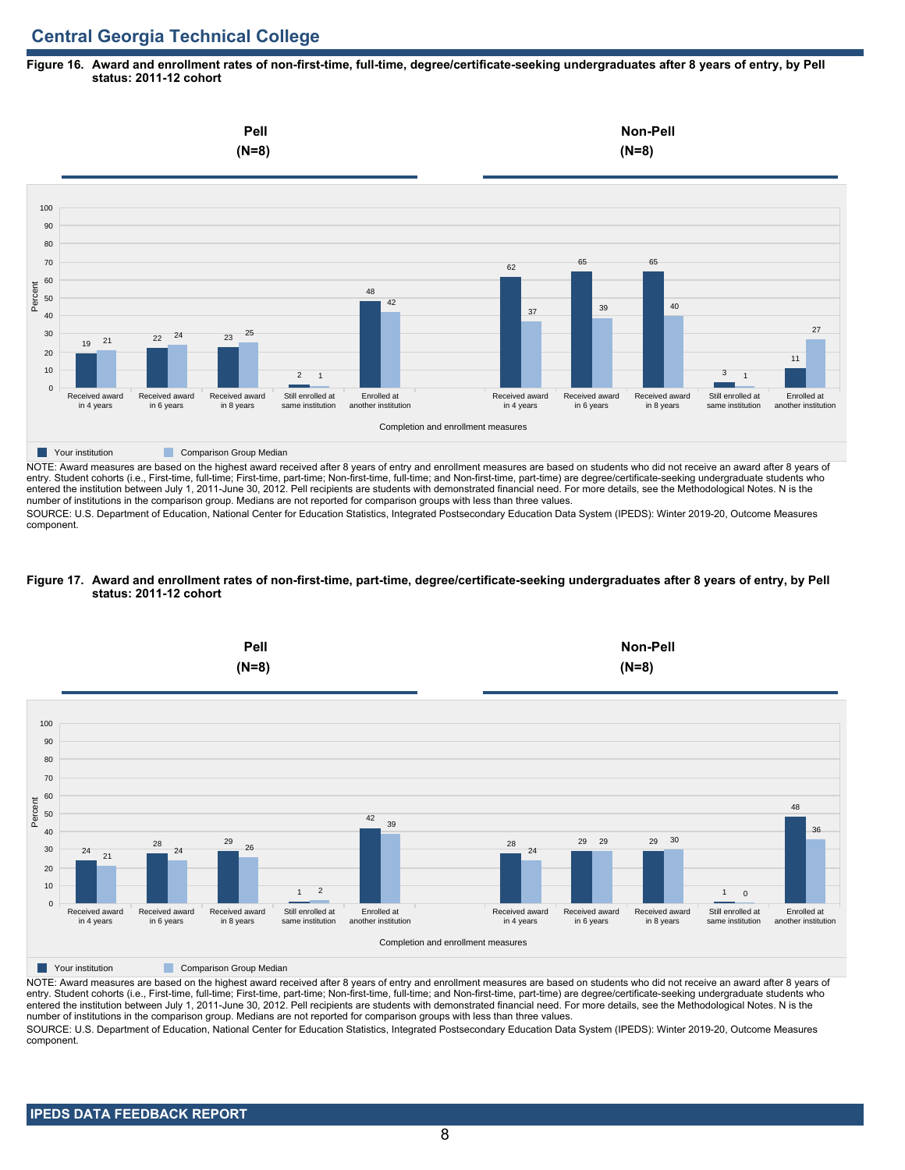### **Figure 16. Award and enrollment rates of non-first-time, full-time, degree/certificate-seeking undergraduates after 8 years of entry, by Pell status: 2011-12 cohort**



NOTE: Award measures are based on the highest award received after 8 years of entry and enrollment measures are based on students who did not receive an award after 8 years of entry. Student cohorts (i.e., First-time, full-time; First-time, part-time; Non-first-time, full-time; and Non-first-time, part-time) are degree/certificate-seeking undergraduate students who entered the institution between July 1, 2011-June 30, 2012. Pell recipients are students with demonstrated financial need. For more details, see the Methodological Notes. N is the number of institutions in the comparison group. Medians are not reported for comparison groups with less than three values.

SOURCE: U.S. Department of Education, National Center for Education Statistics, Integrated Postsecondary Education Data System (IPEDS): Winter 2019-20, Outcome Measures component.

### **Figure 17. Award and enrollment rates of non-first-time, part-time, degree/certificate-seeking undergraduates after 8 years of entry, by Pell status: 2011-12 cohort**



NOTE: Award measures are based on the highest award received after 8 years of entry and enrollment measures are based on students who did not receive an award after 8 years of entry. Student cohorts (i.e., First-time, full-time; First-time, part-time; Non-first-time, full-time; and Non-first-time, part-time) are degree/certificate-seeking undergraduate students who entered the institution between July 1, 2011-June 30, 2012. Pell recipients are students with demonstrated financial need. For more details, see the Methodological Notes. N is the number of institutions in the comparison group. Medians are not reported for comparison groups with less than three values. SOURCE: U.S. Department of Education, National Center for Education Statistics, Integrated Postsecondary Education Data System (IPEDS): Winter 2019-20, Outcome Measures component.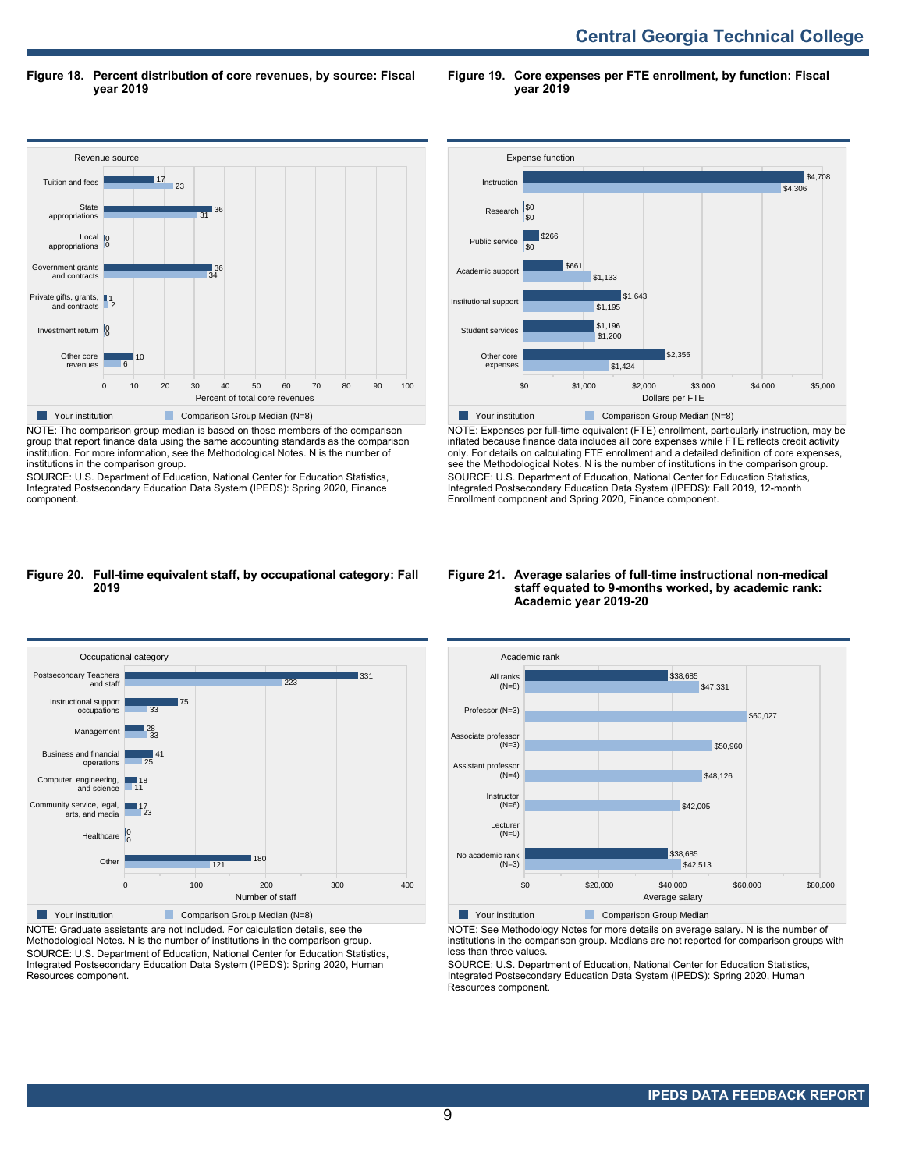**Central Georgia Technical College** 

**Figure 18. Percent distribution of core revenues, by source: Fiscal year 2019**

**Figure 19. Core expenses per FTE enrollment, by function: Fiscal year 2019**



NOTE: The comparison group median is based on those members of the comparison group that report finance data using the same accounting standards as the comparison institution. For more information, see the Methodological Notes. N is the number of institutions in the comparison group.

SOURCE: U.S. Department of Education, National Center for Education Statistics, Integrated Postsecondary Education Data System (IPEDS): Spring 2020, Finance component.



NOTE: Expenses per full-time equivalent (FTE) enrollment, particularly instruction, may be inflated because finance data includes all core expenses while FTE reflects credit activity only. For details on calculating FTE enrollment and a detailed definition of core expenses, see the Methodological Notes. N is the number of institutions in the comparison group. SOURCE: U.S. Department of Education, National Center for Education Statistics, Integrated Postsecondary Education Data System (IPEDS): Fall 2019, 12-month Enrollment component and Spring 2020, Finance component.

### **Figure 20. Full-time equivalent staff, by occupational category: Fall 2019**



NOTE: Graduate assistants are not included. For calculation details, see the Methodological Notes. N is the number of institutions in the comparison group. SOURCE: U.S. Department of Education, National Center for Education Statistics, Integrated Postsecondary Education Data System (IPEDS): Spring 2020, Human Resources component.

### **Figure 21. Average salaries of full-time instructional non-medical staff equated to 9-months worked, by academic rank: Academic year 2019-20**



NOTE: See Methodology Notes for more details on average salary. N is the number of institutions in the comparison group. Medians are not reported for comparison groups with less than three values.

SOURCE: U.S. Department of Education, National Center for Education Statistics, Integrated Postsecondary Education Data System (IPEDS): Spring 2020, Human Resources component.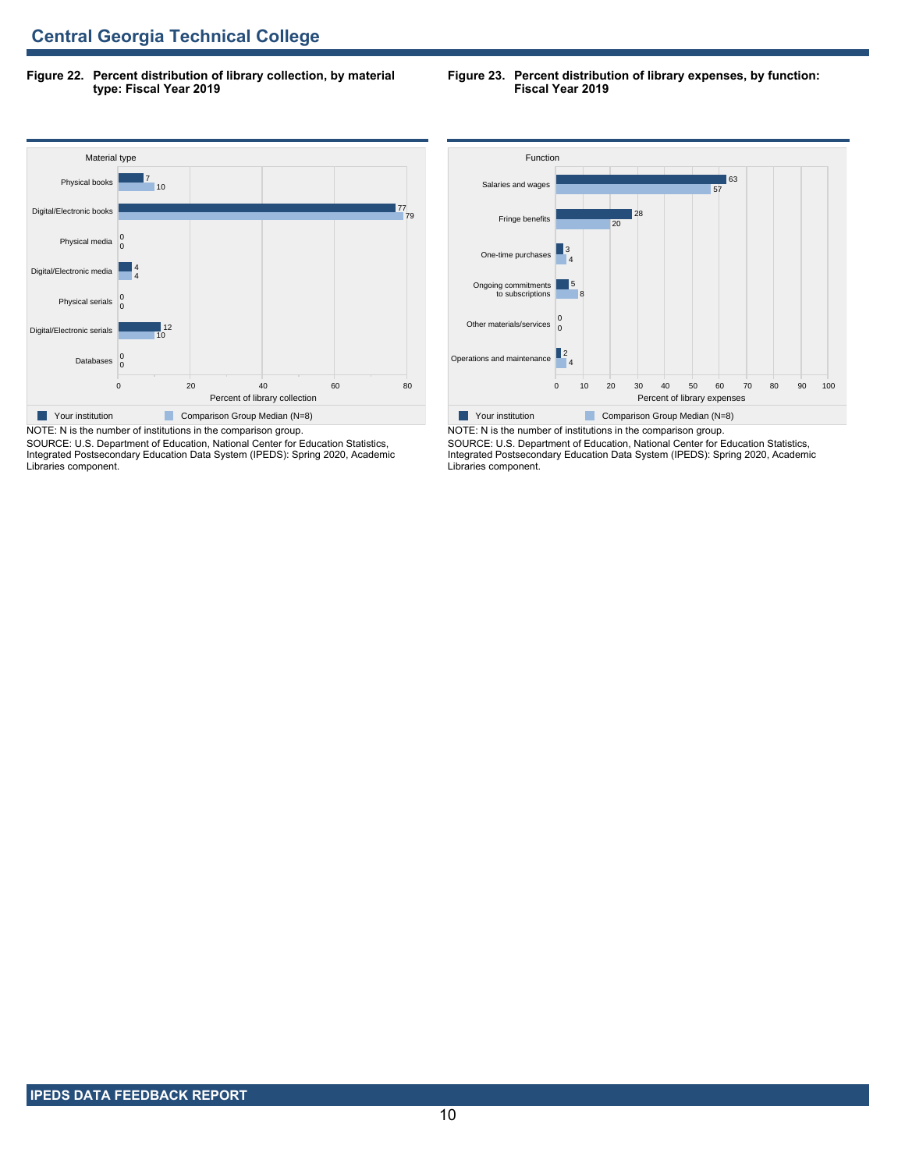**Figure 22. Percent distribution of library collection, by material type: Fiscal Year 2019**

#### **Figure 23. Percent distribution of library expenses, by function: Fiscal Year 2019**



SOURCE: U.S. Department of Education, National Center for Education Statistics, Integrated Postsecondary Education Data System (IPEDS): Spring 2020, Academic Libraries component.



NOTE: N is the number of institutions in the comparison group. SOURCE: U.S. Department of Education, National Center for Education Statistics, Integrated Postsecondary Education Data System (IPEDS): Spring 2020, Academic Libraries component.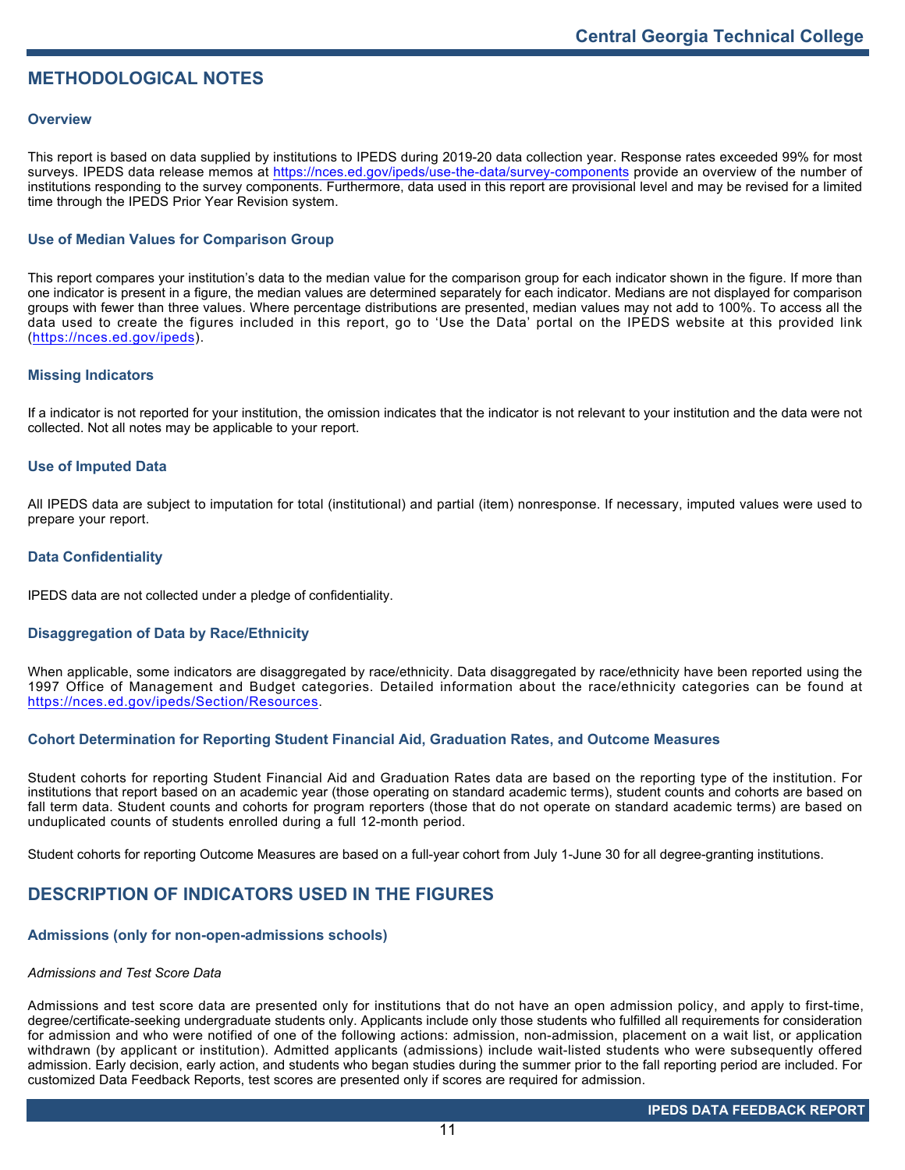## **METHODOLOGICAL NOTES**

## **Overview**

This report is based on data supplied by institutions to IPEDS during 2019-20 data collection year. Response rates exceeded 99% for most surveys. IPEDS data release memos at <https://nces.ed.gov/ipeds/use-the-data/survey-components> provide an overview of the number of institutions responding to the survey components. Furthermore, data used in this report are provisional level and may be revised for a limited time through the IPEDS Prior Year Revision system.

## **Use of Median Values for Comparison Group**

This report compares your institution's data to the median value for the comparison group for each indicator shown in the figure. If more than one indicator is present in a figure, the median values are determined separately for each indicator. Medians are not displayed for comparison groups with fewer than three values. Where percentage distributions are presented, median values may not add to 100%. To access all the data used to create the figures included in this report, go to 'Use the Data' portal on the IPEDS website at this provided link (<https://nces.ed.gov/ipeds>).

## **Missing Indicators**

If a indicator is not reported for your institution, the omission indicates that the indicator is not relevant to your institution and the data were not collected. Not all notes may be applicable to your report.

## **Use of Imputed Data**

All IPEDS data are subject to imputation for total (institutional) and partial (item) nonresponse. If necessary, imputed values were used to prepare your report.

## **Data Confidentiality**

IPEDS data are not collected under a pledge of confidentiality.

## **Disaggregation of Data by Race/Ethnicity**

When applicable, some indicators are disaggregated by race/ethnicity. Data disaggregated by race/ethnicity have been reported using the 1997 Office of Management and Budget categories. Detailed information about the race/ethnicity categories can be found at <https://nces.ed.gov/ipeds/Section/Resources>.

## **Cohort Determination for Reporting Student Financial Aid, Graduation Rates, and Outcome Measures**

Student cohorts for reporting Student Financial Aid and Graduation Rates data are based on the reporting type of the institution. For institutions that report based on an academic year (those operating on standard academic terms), student counts and cohorts are based on fall term data. Student counts and cohorts for program reporters (those that do not operate on standard academic terms) are based on unduplicated counts of students enrolled during a full 12-month period.

Student cohorts for reporting Outcome Measures are based on a full-year cohort from July 1-June 30 for all degree-granting institutions.

## **DESCRIPTION OF INDICATORS USED IN THE FIGURES**

## **Admissions (only for non-open-admissions schools)**

### *Admissions and Test Score Data*

Admissions and test score data are presented only for institutions that do not have an open admission policy, and apply to first-time, degree/certificate-seeking undergraduate students only. Applicants include only those students who fulfilled all requirements for consideration for admission and who were notified of one of the following actions: admission, non-admission, placement on a wait list, or application withdrawn (by applicant or institution). Admitted applicants (admissions) include wait-listed students who were subsequently offered admission. Early decision, early action, and students who began studies during the summer prior to the fall reporting period are included. For customized Data Feedback Reports, test scores are presented only if scores are required for admission.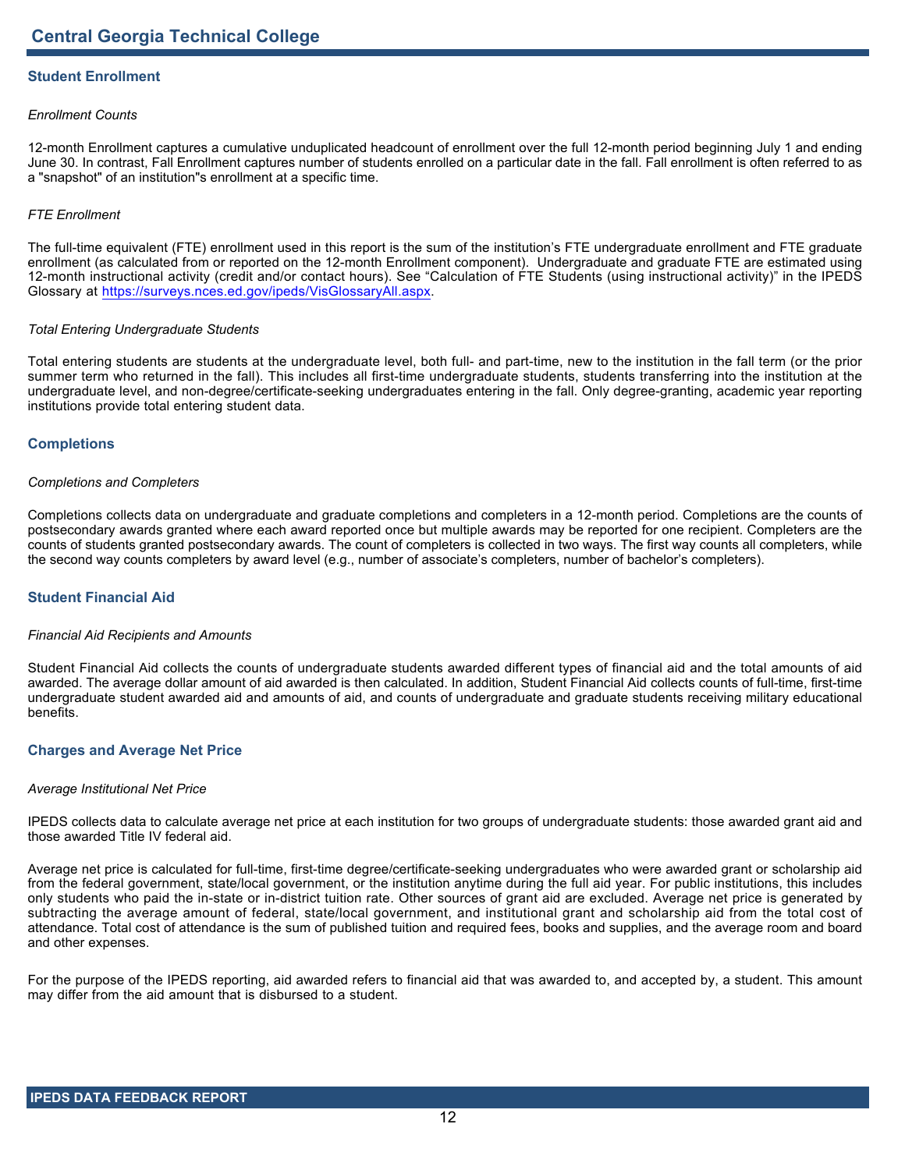## **Student Enrollment**

## *Enrollment Counts*

12-month Enrollment captures a cumulative unduplicated headcount of enrollment over the full 12-month period beginning July 1 and ending June 30. In contrast, Fall Enrollment captures number of students enrolled on a particular date in the fall. Fall enrollment is often referred to as a "snapshot" of an institution"s enrollment at a specific time.

## *FTE Enrollment*

The full-time equivalent (FTE) enrollment used in this report is the sum of the institution's FTE undergraduate enrollment and FTE graduate enrollment (as calculated from or reported on the 12-month Enrollment component). Undergraduate and graduate FTE are estimated using 12-month instructional activity (credit and/or contact hours). See "Calculation of FTE Students (using instructional activity)" in the IPEDS Glossary at <https://surveys.nces.ed.gov/ipeds/VisGlossaryAll.aspx>.

### *Total Entering Undergraduate Students*

Total entering students are students at the undergraduate level, both full- and part-time, new to the institution in the fall term (or the prior summer term who returned in the fall). This includes all first-time undergraduate students, students transferring into the institution at the undergraduate level, and non-degree/certificate-seeking undergraduates entering in the fall. Only degree-granting, academic year reporting institutions provide total entering student data.

## **Completions**

### *Completions and Completers*

Completions collects data on undergraduate and graduate completions and completers in a 12-month period. Completions are the counts of postsecondary awards granted where each award reported once but multiple awards may be reported for one recipient. Completers are the counts of students granted postsecondary awards. The count of completers is collected in two ways. The first way counts all completers, while the second way counts completers by award level (e.g., number of associate's completers, number of bachelor's completers).

## **Student Financial Aid**

### *Financial Aid Recipients and Amounts*

Student Financial Aid collects the counts of undergraduate students awarded different types of financial aid and the total amounts of aid awarded. The average dollar amount of aid awarded is then calculated. In addition, Student Financial Aid collects counts of full-time, first-time undergraduate student awarded aid and amounts of aid, and counts of undergraduate and graduate students receiving military educational benefits.

### **Charges and Average Net Price**

## *Average Institutional Net Price*

IPEDS collects data to calculate average net price at each institution for two groups of undergraduate students: those awarded grant aid and those awarded Title IV federal aid.

Average net price is calculated for full-time, first-time degree/certificate-seeking undergraduates who were awarded grant or scholarship aid from the federal government, state/local government, or the institution anytime during the full aid year. For public institutions, this includes only students who paid the in-state or in-district tuition rate. Other sources of grant aid are excluded. Average net price is generated by subtracting the average amount of federal, state/local government, and institutional grant and scholarship aid from the total cost of attendance. Total cost of attendance is the sum of published tuition and required fees, books and supplies, and the average room and board and other expenses.

For the purpose of the IPEDS reporting, aid awarded refers to financial aid that was awarded to, and accepted by, a student. This amount may differ from the aid amount that is disbursed to a student.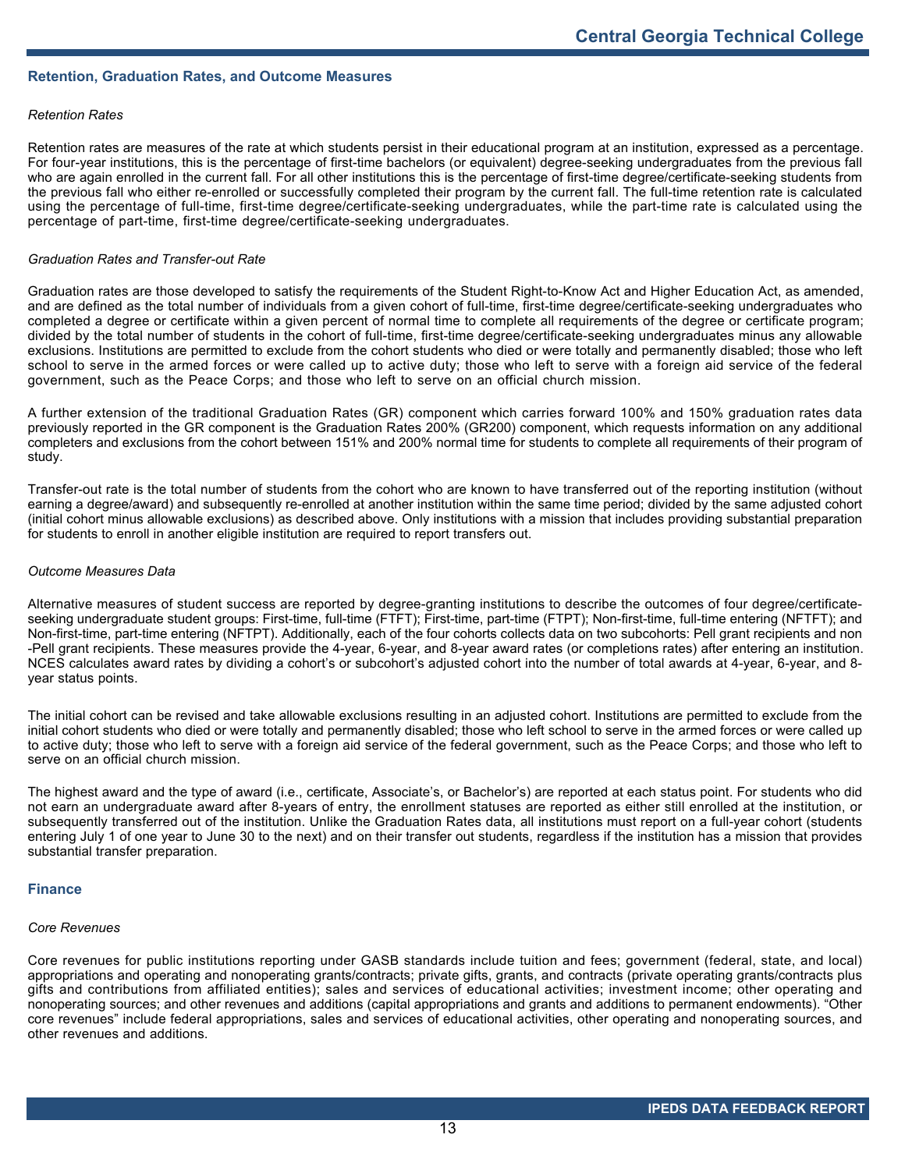## **Retention, Graduation Rates, and Outcome Measures**

## *Retention Rates*

Retention rates are measures of the rate at which students persist in their educational program at an institution, expressed as a percentage. For four-year institutions, this is the percentage of first-time bachelors (or equivalent) degree-seeking undergraduates from the previous fall who are again enrolled in the current fall. For all other institutions this is the percentage of first-time degree/certificate-seeking students from the previous fall who either re-enrolled or successfully completed their program by the current fall. The full-time retention rate is calculated using the percentage of full-time, first-time degree/certificate-seeking undergraduates, while the part-time rate is calculated using the percentage of part-time, first-time degree/certificate-seeking undergraduates.

### *Graduation Rates and Transfer-out Rate*

Graduation rates are those developed to satisfy the requirements of the Student Right-to-Know Act and Higher Education Act, as amended, and are defined as the total number of individuals from a given cohort of full-time, first-time degree/certificate-seeking undergraduates who completed a degree or certificate within a given percent of normal time to complete all requirements of the degree or certificate program; divided by the total number of students in the cohort of full-time, first-time degree/certificate-seeking undergraduates minus any allowable exclusions. Institutions are permitted to exclude from the cohort students who died or were totally and permanently disabled; those who left school to serve in the armed forces or were called up to active duty; those who left to serve with a foreign aid service of the federal government, such as the Peace Corps; and those who left to serve on an official church mission.

A further extension of the traditional Graduation Rates (GR) component which carries forward 100% and 150% graduation rates data previously reported in the GR component is the Graduation Rates 200% (GR200) component, which requests information on any additional completers and exclusions from the cohort between 151% and 200% normal time for students to complete all requirements of their program of study.

Transfer-out rate is the total number of students from the cohort who are known to have transferred out of the reporting institution (without earning a degree/award) and subsequently re-enrolled at another institution within the same time period; divided by the same adjusted cohort (initial cohort minus allowable exclusions) as described above. Only institutions with a mission that includes providing substantial preparation for students to enroll in another eligible institution are required to report transfers out.

### *Outcome Measures Data*

Alternative measures of student success are reported by degree-granting institutions to describe the outcomes of four degree/certificateseeking undergraduate student groups: First-time, full-time (FTFT); First-time, part-time (FTPT); Non-first-time, full-time entering (NFTFT); and Non-first-time, part-time entering (NFTPT). Additionally, each of the four cohorts collects data on two subcohorts: Pell grant recipients and non -Pell grant recipients. These measures provide the 4-year, 6-year, and 8-year award rates (or completions rates) after entering an institution. NCES calculates award rates by dividing a cohort's or subcohort's adjusted cohort into the number of total awards at 4-year, 6-year, and 8 year status points.

The initial cohort can be revised and take allowable exclusions resulting in an adjusted cohort. Institutions are permitted to exclude from the initial cohort students who died or were totally and permanently disabled; those who left school to serve in the armed forces or were called up to active duty; those who left to serve with a foreign aid service of the federal government, such as the Peace Corps; and those who left to serve on an official church mission.

The highest award and the type of award (i.e., certificate, Associate's, or Bachelor's) are reported at each status point. For students who did not earn an undergraduate award after 8-years of entry, the enrollment statuses are reported as either still enrolled at the institution, or subsequently transferred out of the institution. Unlike the Graduation Rates data, all institutions must report on a full-year cohort (students entering July 1 of one year to June 30 to the next) and on their transfer out students, regardless if the institution has a mission that provides substantial transfer preparation.

### **Finance**

## *Core Revenues*

Core revenues for public institutions reporting under GASB standards include tuition and fees; government (federal, state, and local) appropriations and operating and nonoperating grants/contracts; private gifts, grants, and contracts (private operating grants/contracts plus gifts and contributions from affiliated entities); sales and services of educational activities; investment income; other operating and nonoperating sources; and other revenues and additions (capital appropriations and grants and additions to permanent endowments). "Other core revenues" include federal appropriations, sales and services of educational activities, other operating and nonoperating sources, and other revenues and additions.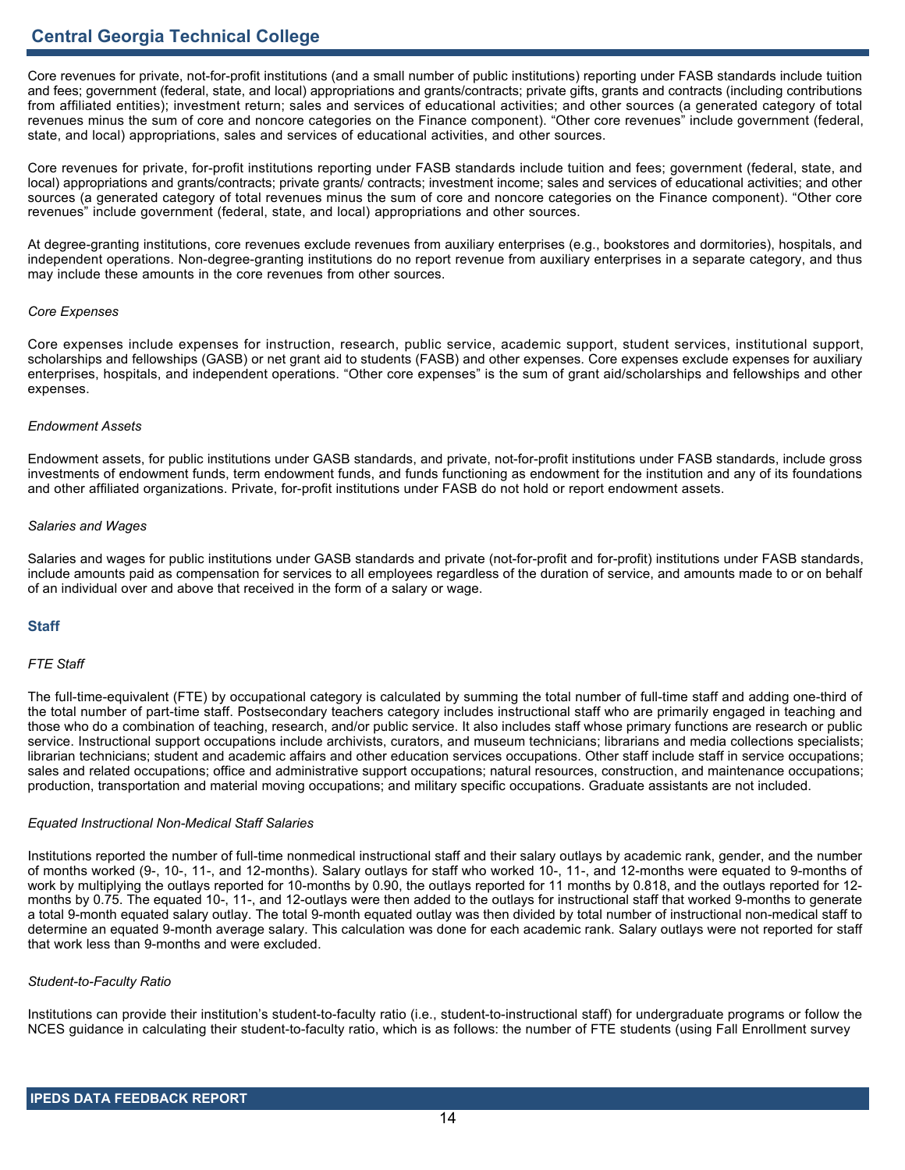Core revenues for private, not-for-profit institutions (and a small number of public institutions) reporting under FASB standards include tuition and fees; government (federal, state, and local) appropriations and grants/contracts; private gifts, grants and contracts (including contributions from affiliated entities); investment return; sales and services of educational activities; and other sources (a generated category of total revenues minus the sum of core and noncore categories on the Finance component). "Other core revenues" include government (federal, state, and local) appropriations, sales and services of educational activities, and other sources.

Core revenues for private, for-profit institutions reporting under FASB standards include tuition and fees; government (federal, state, and local) appropriations and grants/contracts; private grants/ contracts; investment income; sales and services of educational activities; and other sources (a generated category of total revenues minus the sum of core and noncore categories on the Finance component). "Other core revenues" include government (federal, state, and local) appropriations and other sources.

At degree-granting institutions, core revenues exclude revenues from auxiliary enterprises (e.g., bookstores and dormitories), hospitals, and independent operations. Non-degree-granting institutions do no report revenue from auxiliary enterprises in a separate category, and thus may include these amounts in the core revenues from other sources.

### *Core Expenses*

Core expenses include expenses for instruction, research, public service, academic support, student services, institutional support, scholarships and fellowships (GASB) or net grant aid to students (FASB) and other expenses. Core expenses exclude expenses for auxiliary enterprises, hospitals, and independent operations. "Other core expenses" is the sum of grant aid/scholarships and fellowships and other expenses.

## *Endowment Assets*

Endowment assets, for public institutions under GASB standards, and private, not-for-profit institutions under FASB standards, include gross investments of endowment funds, term endowment funds, and funds functioning as endowment for the institution and any of its foundations and other affiliated organizations. Private, for-profit institutions under FASB do not hold or report endowment assets.

## *Salaries and Wages*

Salaries and wages for public institutions under GASB standards and private (not-for-profit and for-profit) institutions under FASB standards, include amounts paid as compensation for services to all employees regardless of the duration of service, and amounts made to or on behalf of an individual over and above that received in the form of a salary or wage.

## **Staff**

## *FTE Staff*

The full-time-equivalent (FTE) by occupational category is calculated by summing the total number of full-time staff and adding one-third of the total number of part-time staff. Postsecondary teachers category includes instructional staff who are primarily engaged in teaching and those who do a combination of teaching, research, and/or public service. It also includes staff whose primary functions are research or public service. Instructional support occupations include archivists, curators, and museum technicians; librarians and media collections specialists; librarian technicians; student and academic affairs and other education services occupations. Other staff include staff in service occupations; sales and related occupations; office and administrative support occupations; natural resources, construction, and maintenance occupations; production, transportation and material moving occupations; and military specific occupations. Graduate assistants are not included.

### *Equated Instructional Non-Medical Staff Salaries*

Institutions reported the number of full-time nonmedical instructional staff and their salary outlays by academic rank, gender, and the number of months worked (9-, 10-, 11-, and 12-months). Salary outlays for staff who worked 10-, 11-, and 12-months were equated to 9-months of work by multiplying the outlays reported for 10-months by 0.90, the outlays reported for 11 months by 0.818, and the outlays reported for 12 months by 0.75. The equated 10-, 11-, and 12-outlays were then added to the outlays for instructional staff that worked 9-months to generate a total 9-month equated salary outlay. The total 9-month equated outlay was then divided by total number of instructional non-medical staff to determine an equated 9-month average salary. This calculation was done for each academic rank. Salary outlays were not reported for staff that work less than 9-months and were excluded.

### *Student-to-Faculty Ratio*

Institutions can provide their institution's student-to-faculty ratio (i.e., student-to-instructional staff) for undergraduate programs or follow the NCES guidance in calculating their student-to-faculty ratio, which is as follows: the number of FTE students (using Fall Enrollment survey